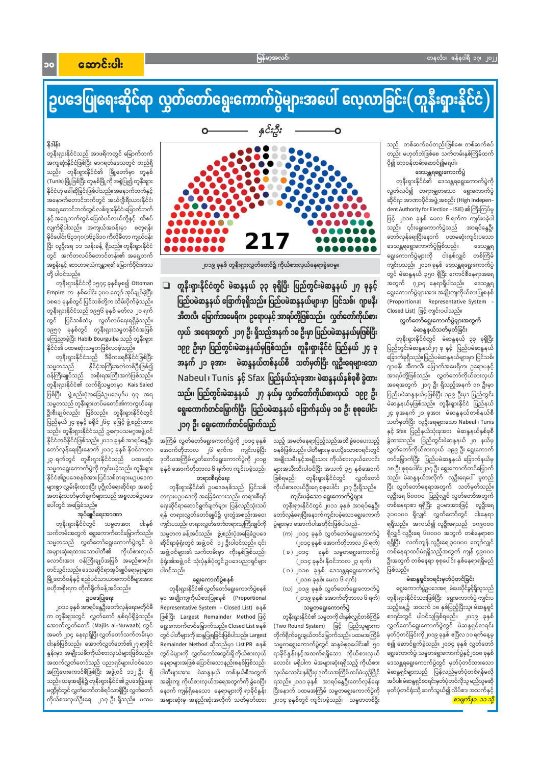# ဥပဒေပြုရေးဆိုင်ရာ လွှတ်တော်ရွေးကောက်ပွဲများအပေါ် လေ့လာခြင်း $(\mathbf{q_i}$ နီးရှားနိုင်ငံ $)$

နိဒါန်း

30

တူနီးရှားနိုင်ငံသည် အာဖရိကတွင် မြောက်ဘက် အကျဆုံးနိုင်ငံဖြစ်ပြီး မာဂရတ်ဒေသတွင် တည်ရှိ သည်။ တူနီးရှားနိုင်ငံ၏ မြို့တော်မှာ တူနစ် (Tunis) မြို့ဖြစ်ပြီး တူနစ်မြို့ကို အစွဲပြု၍ တူနီးရှား နိုင်ငံဟု ခေါ်ဆိုခြင်းဖြစ်ပါသည်။ အနောက်ဘက်နှင့် အနောက်တောင်ဘက်တွင် အယ်ဂျီးရီးယားနိုင်ငံ၊ အရှေ့တောင်ဘက်တွင် လစ်ဗျားနိုင်ငံ၊ မြောက်ဘက် နှင့် အရှေ့ဘက်တွင် မြေထဲပင်လယ်တို့နှင့် ထိစပ် လျက်ရှိပါသည်။ အကျယ်အဝန်းမှာ စတုရန်း မိုင်ပေါင်း ၆၃၁၇၀(၁၆၃၆၁၀ ကီလိုမီတာ ကျယ်ဝန်း ပြီး လူဦးရေ ၁၁ သန်းခန့် ရှိသည်။တူနီးရှားနိုင်ငံ တွင် အက်တလပ်စ်တောင်တန်း၏ အရှေ့ဘက် အစွန်းနှင့် ဆာဟာရသဲကန္တာရ၏မြောက်ပိုင်းဒေသ တို့ ပါဝင်သည်။

တူနီးရှားနိုင်ငံကို ၁၅၇၄ ခုနှစ်မှစ၍ Ottoman Empire က နှစ်ပေါင်း ၃၀၀ ကျော် အုပ်ချုပ်ခဲ့ပြီး ၁၈၈၁ ခုနှစ်တွင် ပြင်သစ်တို့က သိမ်းပိုက်ခဲ့သည်။ တူနီးရှားနိုင်ငံသည် ၁၉၅၆ ခုနှစ် မတ်လ ၂၀ ရက် တွင် ပြင်သစ်ထံမှ လွတ်လပ်ရေးရရှိခဲ့သည်။ ၁၉၅၇ ခုနှစ်တွင် တူနီးရှားသမ္မတနိုင်ငံအဖြစ် ကြေညာခဲ့ပြီး Habib Bourguiba သည် တူနီးရား နိုင်ငံ၏ ပထမဆုံးသမ္မတဖြစ်လာခဲ့သည်။

တူနီးရှားနိုင်ငံသည် ဒီမိုကရေစီနိုင်ငံဖြစ်ပြီး နိုင်ငံ့အကြီးအကဲတစ်ဦးဖြစ်၍ သမ္မတသည် ဝန်ကြီးချုပ်သည် အစိုးရအကြီးအကဲဖြစ်သည်။ တူနီးရှားနိုင်ငံ၏ လက်ရှိသမ္မတမှာ Kais Saied ဖြစ်ပြီး ဖွဲ့စည်းပုံအခြေခံဥပဒေပုဒ်မ ၇၇ အရ သမ္မတသည် တူနီးရှားတပ်မတော်၏ကာကွယ်ရေး ဦးစီးချုပ်လည်း ဖြစ်သည်။ တူနီးရှားနိုင်ငံတွင် ပြည်နယ် ၂၄ ခုနှင့် ခရိုင် ၂၆၄ ခုဖြင့် ဖွဲ့ စည်းထား သည်။ တူနီးရှားနိုင်ငံသည် ဥရောပသမဂ္ဂအဖွဲ့ဝင် နိုင်ငံတစ်နိုင်ငံဖြစ်သည်။၂၀၁၁ ခုနှစ် အာရပ်နွေဦး တော်လှန်ရေးပြီးနောက် ၂၀၁၄ ခုနှစ် နိုဝင်ဘာလ ၂၃ ရက်တွင် တူနီးရှားနိုင်ငံသည် ပထမဆုံး သမ္မတရွေးကောက်ပွဲကို ကျင်းပခဲ့သည်။ တူနီးရှား နိုင်ငံ၏ဥပဒေစနစ်အား ပြင်သစ်တရားမဥပဒေက များစွာ လွှမ်းမိုးထားပြီး ပုဂ္ဂိုလ်ရေးဆိုင်ရာ အဆင့် အတန်းသတ်မှတ်ချက်များသည် အစ္စလာမ်ဥပဒေ ပေါ်တွင် အခြေခံသည်။

# အုပ်ချုပ်ရေးအာဏာ

ရန် တရားလွှတ်တော်ချုပ်၌ ပူးတွဲအစည်းအဝေး .<br>ရရှိသည်။ အကယ်၍ လူဦးရေသည် ၁၀၉၀၀၀ တူနီးရှားနိုင်ငံတွင် သမ္မတအား ငါးနှစ် ကျင်းပသည်။ တရားလွှတ်တော်တရားသူကြီးချုပ်ကို ပွဲများမှာ အောက်ပါအတိုင်းဖြစ်ပါသည်– သက်တမ်းအတွက် ရွေးကောက်တင်မြှောက်သည်။ ရှိလျှင် လူဦးရေ ၆၀၀၀၀ အတွက် တစ်နေရာစာ (က) ၂၀၁၄ ခုနှစ် လွှတ်တော်ရွေးကောက်ပွဲ သမ္မတက ခန့်အပ်သည်။ ဖွဲ့စည်းပုံအခြေခံဥပဒေ သမ္မတသည် လွှတ်တော်ရွေးကောက်ပွဲတွင် မဲ ဆိုင်ရာခ<mark>ုံရုံး</mark>တွင် အဖွဲ့ဝင် ၁၂ ဦးပါဝင်သည်။ ၎င်း ရရှိပြီး လက်ကျန် လူဦးရေ ၃၀၀၀၀ ကျော်လျှင် (၂၀၁၄ ခုနှစ်၊ အောက်တိုဘာလ၂၆ ရက်) အများဆုံးရထားသောပါတီ၏ ကိုယ်စားလှယ် အဖွဲ့ဝင်များ၏ သက်တမ်းမှာ ကိုးနှစ်ဖြစ်သည်။ တစ်နေရာထပ်မံရရှိသည့်အတွက် ကျန် ၄၉၀၀၀ ( ခ ) ၂၀၁၄ ခုနှစ် သမ္မတရွေးကောက်ပွဲ ခုံရုံး၏အဖွဲ့ ဝင် သုံးပုံနှစ်ပုံတွင် ဥပဒေပညာရှင်များ လောင်းအား ဝန်ကြီးချုပ်အဖြစ် အမည်စာရင်း (၂၀၁၄ ခုနှစ်၊ နိုဝင်ဘာလ၂၃ ရက်) ဦးအတွက် တစ်နေရာ စုစုပေါင်း နှစ်နေရာရရှိမည် ဖြစ်သည်။ တင်သွင်းသည်။ ဒေသဆိုင်ရာအုပ်ချုပ်ရေးမှူးများ၊ ပါဝင်သည်။ ( ဂ ) ၂၀၁၈ ခုနှစ် ဒေသန္တရရွေးကောက်ပွဲ မြို့တော်ဝန်နှင့် စည်ပင်သာယာကောင်စီများအား ရွေးကောက်ပွဲစနစ် (၂၀၁၈ ခုနှစ်၊ မေလ ၆ ရက်) မဲဆန္ဒရှင်စာရင်းမှတ်ပုံတင်ခြင်း ဗဟိုအစိုးရက တိုက်ရိုက်ခန့်အပ်သည်။ (ဃ) ၂၀၁၉ ခုနှစ် လွှတ်တော်ရွေးကောက်ပွဲ ရွေးကောက်ပွဲဥပဒေအရ မဲပေးပိုင်ခွင့်ရှိသူသည် တူနီးရှားနိုင်ငံ၏လွှတ်တော်ရွေးကောက်ပွဲစနစ် တူနီးရှားနိုင်ငံသားဖြစ်ပြီး ရွေးကောက်ပွဲကျင်းပ ဥပဒေပြုရေး မှာ အချိုးကျကိုယ်စားပြုစနစ် (Proportional (၂၀၁၉ ခုနှစ်၊ အောက်တိုဘာလ ၆ ရက်) ၂၀၁၁ ခုနှစ် အာရပ်နွေဦးတော်လှန်ရေးမတိုင်မီ သည့်နေ့၌ အသက် ၁၈ နှစ်ပြည့်ပြီးသူ၊ မဲဆန္ဒရှင် Representative System - Closed List) စနစ် သမ္မတရွေးကောက်ပွဲ စာရင်းတွင် ပါဝင်သူဖြစ်ရမည်။ ၂၀၁၉ ခုနှစ် က တူနီးရှားတွင် လွှတ်တော် နှစ်ရပ်ရှိခဲ့သည်။ ဖြစ်ပြီး Largest Remainder Method ဖြင့် တူနီးရှားနိုင်ငံ၏ သမ္မတကို ငါးနှစ်လျှင်တစ်ကြိမ် လွှတ်တော်ရွေးကောက်ပွဲတွင် မဲဆန္ဒရှင်စာရင်း အောက်လွှတ်တော် (Majlis al–Nuwaab) တွင် ရွေးကောက်တင်မြှောက်သည်။ Closed List စနစ် (Two Round System) ဖြင့် ပြည်သူများက အမတ် ၂၁၄ နေရာရှိပြီး လွှတ်တော်သက်တမ်းမှာ တွင် ပါတီများကို ဆန္ဒပြုရခြင်းဖြစ်ပါသည်။ Largest မှတ်ပုံတင်ခြင်းကို၂၀၁၉ ခုနှစ် ဧပြီလ ၁၀ ရက်နေ့မှ တိုက်ရိုက်ရွေးချယ်တင်မြှောက်သည်။ ပထမအကြိမ် Remainder Method ဆိုသည်မှာ List PR စနစ် သမ္မတရွေးကောက်ပွဲတွင် ဆန္ဒမဲစုစုပေါင်း၏ ၅၀ ငါးနှစ်ဖြစ်သည်။ အောက်လွှတ်တော်၏ ၂၇ ရာခိုင် စ၍ ဆောင်ရွက်ခဲ့သည်။ ၂၀၁၄ ခုနှစ် လွှတ်တော် နူန်းမှာ အမျိုးသမီးကိုယ်စားလှယ်များဖြစ်သည်။ ရွေးကောက်ပွဲ၊ သမ္မတရွေးကောက်ပွဲနှင့်၂၀၁၈ ခုနှစ် တွင် မဲများကို လွှတ်တော်အတွင်းရှိ ကိုယ်စားလှယ် ရာခိုင်နှုန်းနှင့်အထက်ရရှိသော ကိုယ်စားလှယ် အထက်လွှတ်တော်သည် ပညာရှင်များပါဝင်သော လောင်း မရှိပါက မဲအများဆုံးရရှိသည့် ကိုယ်စား ဒေသန္တရရွေးကောက်ပွဲတွင် မှတ်ပုံတင်ထားသော နေရာများအဖြစ် ပြောင်းသောနည်းစနစ်ဖြစ်သည်။ အကြံပေးကောင်စီဖြစ်ပြီး အဖွဲ့ဝင် ၁၁၂ ဦး ရှိ ပါတီများအား မဲဆန္ဒနယ် တစ်နယ်စီအတွက် လှယ်လောင်း နှစ်ဦးမှ ဒုတိယအကြိမ် ထပ်မံယှဉ်ပြိုင် မဲဆန္ဒရှင်များသည် ပြန်လည်မှတ်ပုံတင်ရန်မလို သည်။ ယခုအချိန်၌ တူနီးရှားနိုင်ငံ၏ ဥပဒေပြုရေး အချိုးကျ ကိုယ်စားလှယ်အရေအတွက်ကို ခွဲဝေပြီး အပ်ပါ။ မဲဆန္ဒရှင်စာရင်းမှတ်ပုံတင်လိုသူ မည်သူမဆို ရသည်။ ၂၀၁၁ ခုနှစ် အာရပ်နွေဦးတော်လှန်ရေး မှတ်ပုံတင်ရုံးသို့ ဆက်သွယ်၍ လိပ်စာ၊ အသက်နှင့် မဏ္ဍိုင်တွင် လွှတ်တော်တစ်ရပ်သာရှိပြီး လွှတ်တော် နောက် ကျန်ရှိနေသော နေရာများကို ရာခိုင်နှုန်း ပြီးနောက် ပထမအကြိမ် သမ္မတရွေးကောက်ပွဲကို ကိုယ်စားလှယ်ဦးရေ ၂၁၇ ဦး ရှိသည်။ ပထမ ၂၀၁၄ ခုနှစ်တွင် ကျင်းပခဲ့သည်။ သမ္မတတစ်ဦး <mark>စာမျက်နှာ ၁၁ သို့</mark> အများဆုံးမှ အနည်းဆုံးအလိုက် သတ်မှတ်ထား



၂၀၁၉ ခုနှစ် တူနီးရှားလွှတ်တော်၌ ကိုယ်စားလှယ်နေရာခွဲဝေမှု။

တူနီးရှားနိုင်ငံတွင် မဲဆန္ဒနယ် ၃၃ ခုရှိပြီး ပြည်တွင်းမဲဆန္ဒနယ် ၂၇ ခုနှင့် Q. ပြည်ပမဲဆန္ဒနယ် ခြောက်ခုရှိသည်။ ပြည်ပမဲဆန္ဒနယ်များမှာ ပြင်သစ်၊ ဂျာမနီ၊ အီတလီ၊ မြောက်အမေရိက၊ ဥရောပနှင့် အာရပ်တို့ဖြစ်သည်။ လွှတ်တော်ကိုယ်စား လှယ် အရေအတွက် ၂၁၇ ဦး ရှိသည့်အနက် ၁၈ ဦးမှာ ပြည်ပမဲဆန္ဒနယ်မှဖြစ်ပြီး ၁၉၉ ဦးမှာ ပြည်တွင်းမဲဆန္ဒနယ်မှဖြစ်သည်။ တူနီးရှားနိုင်ငံ ပြည်နယ် ၂၄ ခု အနက် ၂၁ ခုအား မဲဆန္ဒနယ်တစ်နယ်စီ သတ်မှတ်ပြီး လူဦးရေများသော Nabeul ၊ Tunis နှင့် Sfax ပြည်နယ်သုံးခုအား မဲဆန္ဒနယ်နှစ်ခုစီ ခွဲထား သည်။ ပြည်တွင်းမဲဆန္ဒနယ် ၂၇ နယ်မှ လွှတ်တော်ကိုယ်စားလှယ် ၁၉၉ ဦး ရွေးကောက်တင်မြှောက်ပြီး ပြည်ပမဲဆန္ဒနယ် ခြောက်နယ်မှ ၁၈ ဦး စုစုပေါင်း ၂၁၇ ဦး ရွေးကောက်တင်မြှောက်သည်

အကြိမ် လွှတ်တော်ရွေးကောက်ပွဲကို ၂၀၁၄ ခုနှစ်

အောက်တိုဘာလ ၂၆ ရက်က ကျင်းပခဲ့ပြီး

ဒုတိယအကြိမ်လွှတ်တော်ရွေးကောက်ပွဲကို ၂၀၁၉

ခုနှစ် အောက်တိုဘာလ ၆ ရက်က ကျင်းပခဲ့သည်။

တရားစီရင်ရေး

တရားမဥပဒေကို အခြေခံထားသည်။ တရားစီရင်

ရေးဆိုင်ရာဆောင်ရွက်ချက်များ ပြန်လည်သုံးသပ်

တူနီးရှားနိုင်ငံ၏ ဥပဒေစနစ်သည် ပြင်သစ်

သည့် အမတ်နေရာပြည့်သည်အထိ ခွဲဝေပေးသည့် စနစ်ဖြစ်သည်။ ပါတီများမှ ပေးပို့သောစာရင်းတွင် အမျိုးသမီးနှင့်အမျိုးသား ကိုယ်စားလှယ်လောင်း များအသီးသီးပါဝင်ပြီး အသက် ၃၅ နှစ်အောက် ဖြစ်ရမည်။ တူနီးရှားနိုင်ငံတွင် လွှတ်တော် ကိုယ်စားလှယ်ဦးရေ စုစုပေါင်း ၂၁၇ ဦးရှိသည်။

ကျင်းပခဲ့သော ရွေးကောက်ပွဲများ တူနီးရှားနိုင်ငံတွင် ၂၀၁၁ ခုနှစ် အာရပ်နွေဦး တော်လှန်ရေးပြီးနောက်ကျင်းပခဲ့သော ရွေးကောက်

သည် တစ်ဆက်စပ်တည်းဖြစ်စေ၊ တစ်ဆက်စပ် တည်း မဟုတ်ဘဲဖြစ်စေ သက်တမ်းနှစ်ကြိမ်ထက် ပို၍ တာဝန်ထမ်းဆောင်၍မရပါ။

# ဒေသန္တရရွေးကောက်ပွဲ

တူနီးရှားနိုင်ငံ၏ ဒေသန္တရရွေးကောက်ပွဲကို လွတ်လပ်၍ တရားမျှတသော ရွေးကောက်ပွဲ ဆိုင်ရာ အာဏာပိုင်အဖွဲ့ အစည်း (High Indepen– dent Authority for Election – ISIE) ၏ ကြီးကြပ်မှု ဖြင့် ၂၀၁၈ ခုနှစ် မေလ ၆ ရက်က ကျင်းပခဲ့ပါ သည်။ ၎င်းရွေးကောက်ပွဲသည် အာရပ်နွေဦး တော်လှန်ရေးပြီးနောက် ပထမဆုံးကျင်းပသော ဒေသန္တရရွေးကောက်ပွဲဖြစ်သည်။ ဒေသန္တရ ရွေးကောက်ပွဲများကို ငါးနှစ်လျှင် တစ်ကြိမ် ကျင်းပသည်။ ၂၀၁၈ ခုနှစ် ဒေသန္တရရွေးကောက်ပွဲ တွင် မဲဆန္ဒနယ် ၃၅၀ ရှိပြီး ကောင်စီနေရာအရေ အတွက် ၇၂၁၇ နေရာရှိပါသည်။ ဒေသန္တရ ရွေးကောက်ပွဲများအား အချိုးကျကိုယ်စားပြုစနစ် (Proportional Representative System -Closed List) ဖြင့် ကျင်းပပါသည်။

# လွှတ်တော်ရွေးကောက်ပွဲများအတွက် မဲဆန္ဒနယ်သတ်မှတ်ခြင်း

တူနီးရှားနိုင်ငံတွင် မဲဆန္ဒနယ် ၃၃ ခုရှိပြီး ပြည်တွင်းမဲဆန္ဒနယ်၂၇ ခု နှင့် ပြည်ပမဲဆန္ဒနယ် ခြောက်ခုရှိသည်။ ပြည်ပမဲဆန္ဒနယ်များမှာ ပြင်သစ်၊ ဂျာမနီ၊ အီတလီ၊ မြောက်အမေရိက၊ ဥရောပနှင့် အာရပ်တို့ဖြစ်သည်။ လွှတ်တော်ကိုယ်စားလှယ် အရေအတွက် ၂၁၇ ဦး ရှိသည့်အနက် ၁၈ ဦးမှာ ပြည်ပမဲဆန္ဒနယ်မှဖြစ်ပြီး ၁၉၉ ဦးမှာ ပြည်တွင်း မဲဆန္ဒနယ်မှဖြစ်သည်။ တူနီးရှားနိုင်ငံ ပြည်နယ် ၂၄ ခုအနက် ၂၁ ခုအား မဲဆန္ဒနယ်တစ်နယ်စီ သတ်မှတ်ပြီး လူဦးရေများသော Nabeul ၊ Tunis နှင့် Sfax ပြည်နယ်သုံးခုအား မဲဆန္ဒနယ်နှစ်ခုစီ ခွဲထားသည်။ ပြည်တွင်းမဲဆန္ဒနယ် ၂၇ နယ်မှ လွှတ်တော်ကိုယ်စားလှယ် ၁၉၉ ဦး ရွေးကောက် တင်မြှောက်ပြီး ပြည်ပမဲဆန္ဒနယ် ခြောက်နယ်မှ ၁၈ ဦး စုစုပေါင်း ၂၁၇ ဦး ရွေးကောက်တင်မြှောက် သည်။ မဲဆန္ဒနယ်အလိုက် လူဦးရေပေါ် မူတည် ပြီး လွှတ်တော်နေရာအတွက် သတ်မှတ်သည်။ လူဦးရေ ၆၀၀၀၀ ပြည့်လျှင် လွှတ်တော်အတွက် တစ်နေရာစာ ရရှိပြီး ဥပမာအားဖြင့် လူဦးရေ ၃၀၀၀၀၀ ရှိလျှင် လွှတ်တော်တွင် ငါးနေရာ